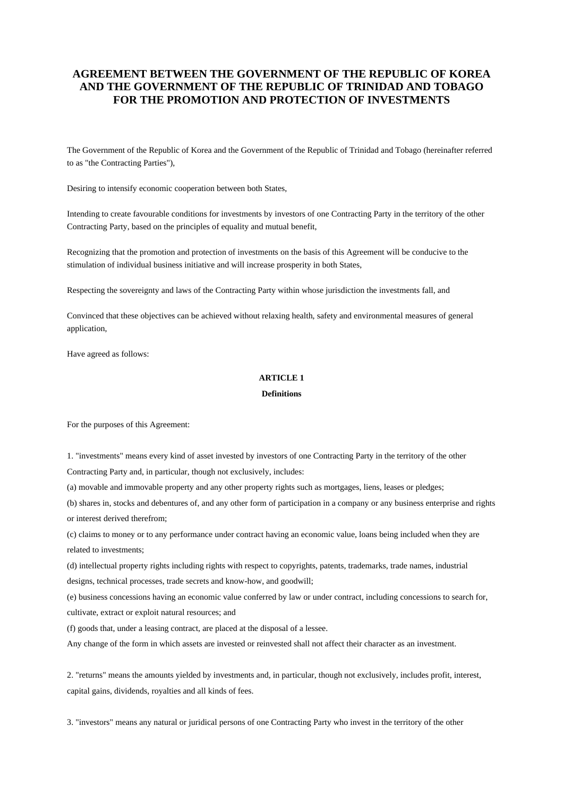# **AGREEMENT BETWEEN THE GOVERNMENT OF THE REPUBLIC OF KOREA AND THE GOVERNMENT OF THE REPUBLIC OF TRINIDAD AND TOBAGO FOR THE PROMOTION AND PROTECTION OF INVESTMENTS**

The Government of the Republic of Korea and the Government of the Republic of Trinidad and Tobago (hereinafter referred to as "the Contracting Parties"),

Desiring to intensify economic cooperation between both States,

Intending to create favourable conditions for investments by investors of one Contracting Party in the territory of the other Contracting Party, based on the principles of equality and mutual benefit,

Recognizing that the promotion and protection of investments on the basis of this Agreement will be conducive to the stimulation of individual business initiative and will increase prosperity in both States,

Respecting the sovereignty and laws of the Contracting Party within whose jurisdiction the investments fall, and

Convinced that these objectives can be achieved without relaxing health, safety and environmental measures of general application,

Have agreed as follows:

## **ARTICLE 1**

### **Definitions**

For the purposes of this Agreement:

1. "investments" means every kind of asset invested by investors of one Contracting Party in the territory of the other Contracting Party and, in particular, though not exclusively, includes:

(a) movable and immovable property and any other property rights such as mortgages, liens, leases or pledges;

(b) shares in, stocks and debentures of, and any other form of participation in a company or any business enterprise and rights or interest derived therefrom;

(c) claims to money or to any performance under contract having an economic value, loans being included when they are related to investments;

(d) intellectual property rights including rights with respect to copyrights, patents, trademarks, trade names, industrial designs, technical processes, trade secrets and know-how, and goodwill;

(e) business concessions having an economic value conferred by law or under contract, including concessions to search for, cultivate, extract or exploit natural resources; and

(f) goods that, under a leasing contract, are placed at the disposal of a lessee.

Any change of the form in which assets are invested or reinvested shall not affect their character as an investment.

2. "returns" means the amounts yielded by investments and, in particular, though not exclusively, includes profit, interest, capital gains, dividends, royalties and all kinds of fees.

3. "investors" means any natural or juridical persons of one Contracting Party who invest in the territory of the other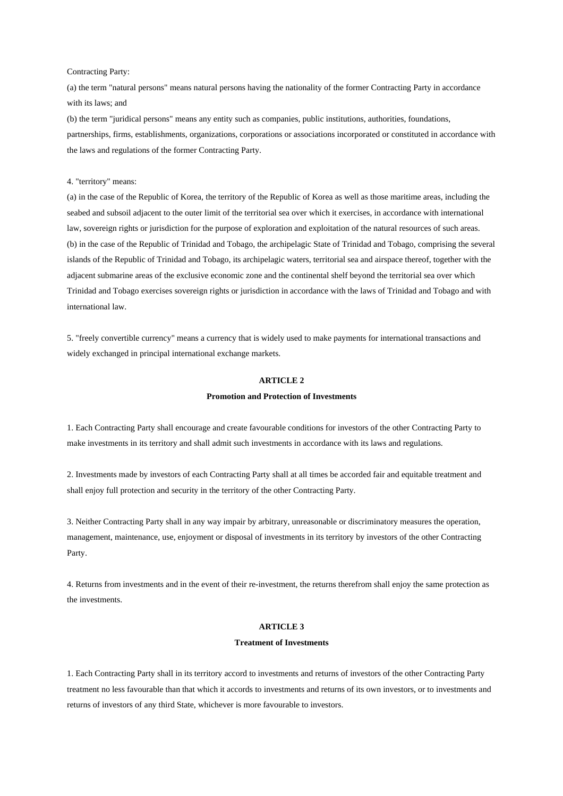## Contracting Party:

(a) the term "natural persons" means natural persons having the nationality of the former Contracting Party in accordance with its laws; and

(b) the term "juridical persons" means any entity such as companies, public institutions, authorities, foundations, partnerships, firms, establishments, organizations, corporations or associations incorporated or constituted in accordance with the laws and regulations of the former Contracting Party.

### 4. "territory" means:

(a) in the case of the Republic of Korea, the territory of the Republic of Korea as well as those maritime areas, including the seabed and subsoil adjacent to the outer limit of the territorial sea over which it exercises, in accordance with international law, sovereign rights or jurisdiction for the purpose of exploration and exploitation of the natural resources of such areas. (b) in the case of the Republic of Trinidad and Tobago, the archipelagic State of Trinidad and Tobago, comprising the several islands of the Republic of Trinidad and Tobago, its archipelagic waters, territorial sea and airspace thereof, together with the adjacent submarine areas of the exclusive economic zone and the continental shelf beyond the territorial sea over which Trinidad and Tobago exercises sovereign rights or jurisdiction in accordance with the laws of Trinidad and Tobago and with international law.

5. "freely convertible currency" means a currency that is widely used to make payments for international transactions and widely exchanged in principal international exchange markets.

# **ARTICLE 2**

#### **Promotion and Protection of Investments**

1. Each Contracting Party shall encourage and create favourable conditions for investors of the other Contracting Party to make investments in its territory and shall admit such investments in accordance with its laws and regulations.

2. Investments made by investors of each Contracting Party shall at all times be accorded fair and equitable treatment and shall enjoy full protection and security in the territory of the other Contracting Party.

3. Neither Contracting Party shall in any way impair by arbitrary, unreasonable or discriminatory measures the operation, management, maintenance, use, enjoyment or disposal of investments in its territory by investors of the other Contracting Party.

4. Returns from investments and in the event of their re-investment, the returns therefrom shall enjoy the same protection as the investments.

### **ARTICLE 3**

#### **Treatment of Investments**

1. Each Contracting Party shall in its territory accord to investments and returns of investors of the other Contracting Party treatment no less favourable than that which it accords to investments and returns of its own investors, or to investments and returns of investors of any third State, whichever is more favourable to investors.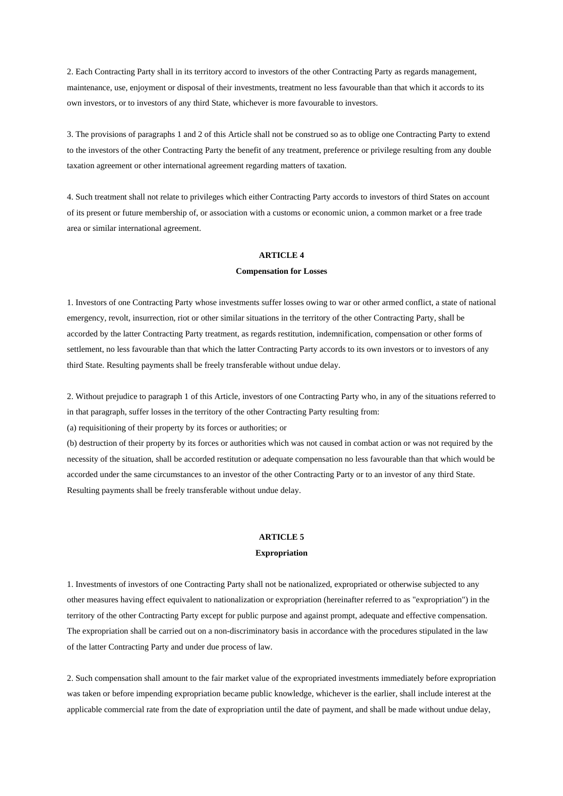2. Each Contracting Party shall in its territory accord to investors of the other Contracting Party as regards management, maintenance, use, enjoyment or disposal of their investments, treatment no less favourable than that which it accords to its own investors, or to investors of any third State, whichever is more favourable to investors.

3. The provisions of paragraphs 1 and 2 of this Article shall not be construed so as to oblige one Contracting Party to extend to the investors of the other Contracting Party the benefit of any treatment, preference or privilege resulting from any double taxation agreement or other international agreement regarding matters of taxation.

4. Such treatment shall not relate to privileges which either Contracting Party accords to investors of third States on account of its present or future membership of, or association with a customs or economic union, a common market or a free trade area or similar international agreement.

# **ARTICLE 4**

## **Compensation for Losses**

1. Investors of one Contracting Party whose investments suffer losses owing to war or other armed conflict, a state of national emergency, revolt, insurrection, riot or other similar situations in the territory of the other Contracting Party, shall be accorded by the latter Contracting Party treatment, as regards restitution, indemnification, compensation or other forms of settlement, no less favourable than that which the latter Contracting Party accords to its own investors or to investors of any third State. Resulting payments shall be freely transferable without undue delay.

2. Without prejudice to paragraph 1 of this Article, investors of one Contracting Party who, in any of the situations referred to in that paragraph, suffer losses in the territory of the other Contracting Party resulting from:

(a) requisitioning of their property by its forces or authorities; or

(b) destruction of their property by its forces or authorities which was not caused in combat action or was not required by the necessity of the situation, shall be accorded restitution or adequate compensation no less favourable than that which would be accorded under the same circumstances to an investor of the other Contracting Party or to an investor of any third State. Resulting payments shall be freely transferable without undue delay.

# **ARTICLE 5**

## **Expropriation**

1. Investments of investors of one Contracting Party shall not be nationalized, expropriated or otherwise subjected to any other measures having effect equivalent to nationalization or expropriation (hereinafter referred to as "expropriation") in the territory of the other Contracting Party except for public purpose and against prompt, adequate and effective compensation. The expropriation shall be carried out on a non-discriminatory basis in accordance with the procedures stipulated in the law of the latter Contracting Party and under due process of law.

2. Such compensation shall amount to the fair market value of the expropriated investments immediately before expropriation was taken or before impending expropriation became public knowledge, whichever is the earlier, shall include interest at the applicable commercial rate from the date of expropriation until the date of payment, and shall be made without undue delay,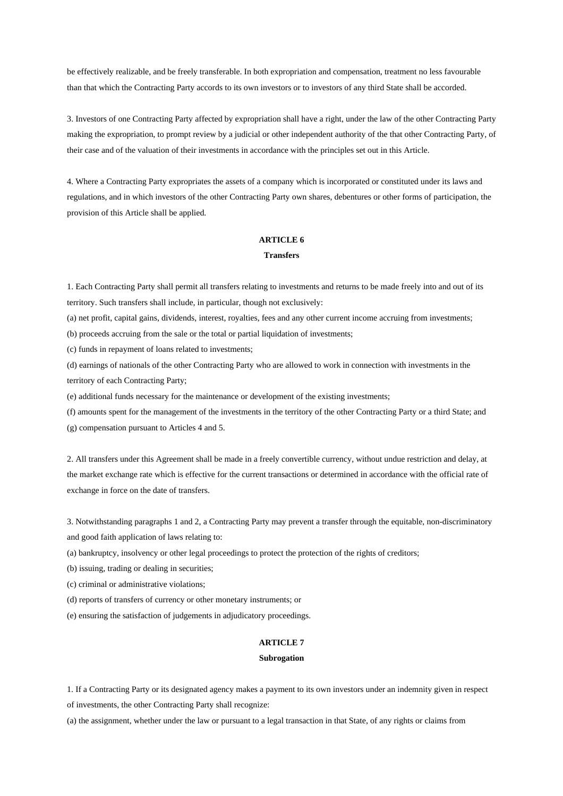be effectively realizable, and be freely transferable. In both expropriation and compensation, treatment no less favourable than that which the Contracting Party accords to its own investors or to investors of any third State shall be accorded.

3. Investors of one Contracting Party affected by expropriation shall have a right, under the law of the other Contracting Party making the expropriation, to prompt review by a judicial or other independent authority of the that other Contracting Party, of their case and of the valuation of their investments in accordance with the principles set out in this Article.

4. Where a Contracting Party expropriates the assets of a company which is incorporated or constituted under its laws and regulations, and in which investors of the other Contracting Party own shares, debentures or other forms of participation, the provision of this Article shall be applied.

## **ARTICLE 6**

# **Transfers**

1. Each Contracting Party shall permit all transfers relating to investments and returns to be made freely into and out of its territory. Such transfers shall include, in particular, though not exclusively:

(a) net profit, capital gains, dividends, interest, royalties, fees and any other current income accruing from investments;

(b) proceeds accruing from the sale or the total or partial liquidation of investments;

(c) funds in repayment of loans related to investments;

(d) earnings of nationals of the other Contracting Party who are allowed to work in connection with investments in the territory of each Contracting Party;

(e) additional funds necessary for the maintenance or development of the existing investments;

(f) amounts spent for the management of the investments in the territory of the other Contracting Party or a third State; and (g) compensation pursuant to Articles 4 and 5.

2. All transfers under this Agreement shall be made in a freely convertible currency, without undue restriction and delay, at the market exchange rate which is effective for the current transactions or determined in accordance with the official rate of exchange in force on the date of transfers.

3. Notwithstanding paragraphs 1 and 2, a Contracting Party may prevent a transfer through the equitable, non-discriminatory and good faith application of laws relating to:

(a) bankruptcy, insolvency or other legal proceedings to protect the protection of the rights of creditors;

(b) issuing, trading or dealing in securities;

(c) criminal or administrative violations;

(d) reports of transfers of currency or other monetary instruments; or

(e) ensuring the satisfaction of judgements in adjudicatory proceedings.

## **ARTICLE 7**

## **Subrogation**

1. If a Contracting Party or its designated agency makes a payment to its own investors under an indemnity given in respect of investments, the other Contracting Party shall recognize:

(a) the assignment, whether under the law or pursuant to a legal transaction in that State, of any rights or claims from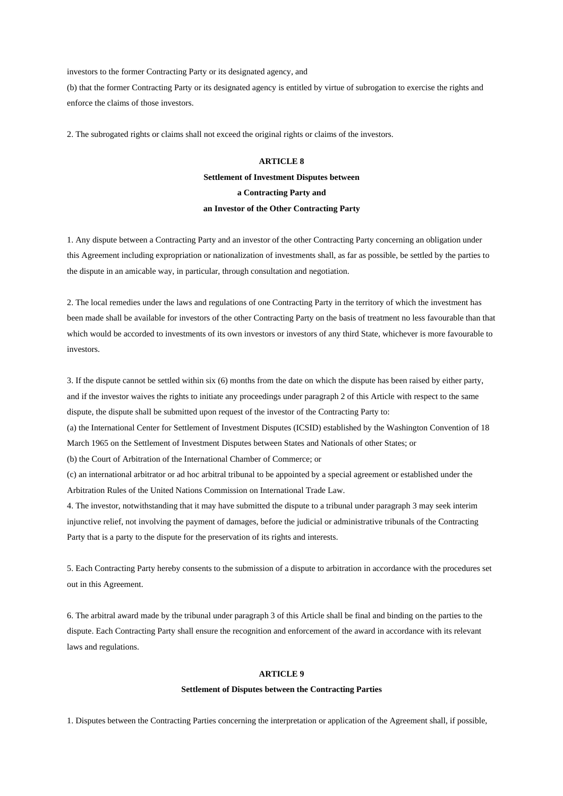investors to the former Contracting Party or its designated agency, and

(b) that the former Contracting Party or its designated agency is entitled by virtue of subrogation to exercise the rights and enforce the claims of those investors.

2. The subrogated rights or claims shall not exceed the original rights or claims of the investors.

# **ARTICLE 8 Settlement of Investment Disputes between a Contracting Party and an Investor of the Other Contracting Party**

1. Any dispute between a Contracting Party and an investor of the other Contracting Party concerning an obligation under this Agreement including expropriation or nationalization of investments shall, as far as possible, be settled by the parties to the dispute in an amicable way, in particular, through consultation and negotiation.

2. The local remedies under the laws and regulations of one Contracting Party in the territory of which the investment has been made shall be available for investors of the other Contracting Party on the basis of treatment no less favourable than that which would be accorded to investments of its own investors or investors of any third State, whichever is more favourable to investors.

3. If the dispute cannot be settled within six (6) months from the date on which the dispute has been raised by either party, and if the investor waives the rights to initiate any proceedings under paragraph 2 of this Article with respect to the same dispute, the dispute shall be submitted upon request of the investor of the Contracting Party to:

(a) the International Center for Settlement of Investment Disputes (ICSID) established by the Washington Convention of 18 March 1965 on the Settlement of Investment Disputes between States and Nationals of other States; or

(b) the Court of Arbitration of the International Chamber of Commerce; or

(c) an international arbitrator or ad hoc arbitral tribunal to be appointed by a special agreement or established under the Arbitration Rules of the United Nations Commission on International Trade Law.

4. The investor, notwithstanding that it may have submitted the dispute to a tribunal under paragraph 3 may seek interim injunctive relief, not involving the payment of damages, before the judicial or administrative tribunals of the Contracting Party that is a party to the dispute for the preservation of its rights and interests.

5. Each Contracting Party hereby consents to the submission of a dispute to arbitration in accordance with the procedures set out in this Agreement.

6. The arbitral award made by the tribunal under paragraph 3 of this Article shall be final and binding on the parties to the dispute. Each Contracting Party shall ensure the recognition and enforcement of the award in accordance with its relevant laws and regulations.

### **ARTICLE 9**

#### **Settlement of Disputes between the Contracting Parties**

1. Disputes between the Contracting Parties concerning the interpretation or application of the Agreement shall, if possible,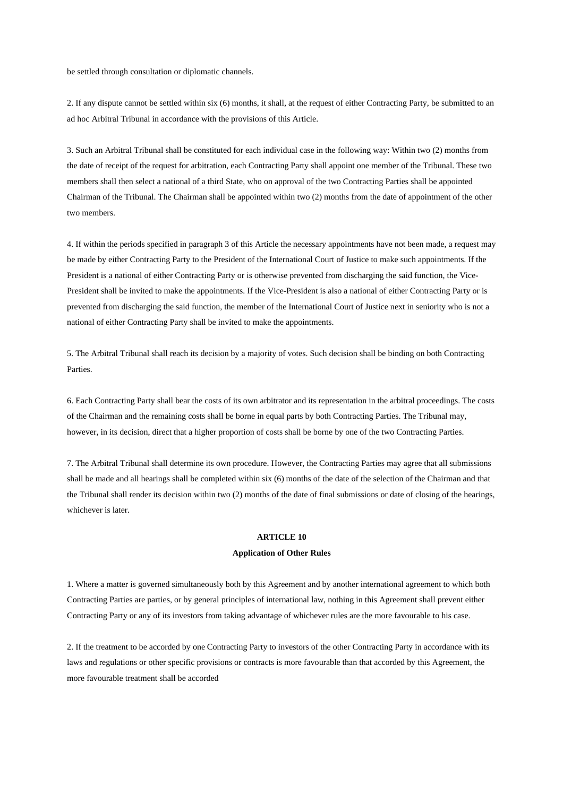be settled through consultation or diplomatic channels.

2. If any dispute cannot be settled within six (6) months, it shall, at the request of either Contracting Party, be submitted to an ad hoc Arbitral Tribunal in accordance with the provisions of this Article.

3. Such an Arbitral Tribunal shall be constituted for each individual case in the following way: Within two (2) months from the date of receipt of the request for arbitration, each Contracting Party shall appoint one member of the Tribunal. These two members shall then select a national of a third State, who on approval of the two Contracting Parties shall be appointed Chairman of the Tribunal. The Chairman shall be appointed within two (2) months from the date of appointment of the other two members.

4. If within the periods specified in paragraph 3 of this Article the necessary appointments have not been made, a request may be made by either Contracting Party to the President of the International Court of Justice to make such appointments. If the President is a national of either Contracting Party or is otherwise prevented from discharging the said function, the Vice-President shall be invited to make the appointments. If the Vice-President is also a national of either Contracting Party or is prevented from discharging the said function, the member of the International Court of Justice next in seniority who is not a national of either Contracting Party shall be invited to make the appointments.

5. The Arbitral Tribunal shall reach its decision by a majority of votes. Such decision shall be binding on both Contracting Parties.

6. Each Contracting Party shall bear the costs of its own arbitrator and its representation in the arbitral proceedings. The costs of the Chairman and the remaining costs shall be borne in equal parts by both Contracting Parties. The Tribunal may, however, in its decision, direct that a higher proportion of costs shall be borne by one of the two Contracting Parties.

7. The Arbitral Tribunal shall determine its own procedure. However, the Contracting Parties may agree that all submissions shall be made and all hearings shall be completed within six (6) months of the date of the selection of the Chairman and that the Tribunal shall render its decision within two (2) months of the date of final submissions or date of closing of the hearings, whichever is later.

# **ARTICLE 10**

# **Application of Other Rules**

1. Where a matter is governed simultaneously both by this Agreement and by another international agreement to which both Contracting Parties are parties, or by general principles of international law, nothing in this Agreement shall prevent either Contracting Party or any of its investors from taking advantage of whichever rules are the more favourable to his case.

2. If the treatment to be accorded by one Contracting Party to investors of the other Contracting Party in accordance with its laws and regulations or other specific provisions or contracts is more favourable than that accorded by this Agreement, the more favourable treatment shall be accorded